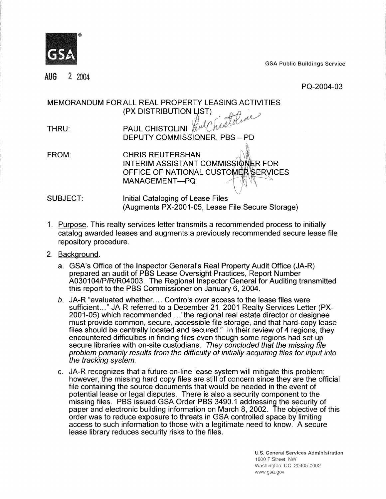

**GSA Public Buildings Service** 

2 2004 AUG

PQ-2004-03

MEMORANDUM FORALL REAL PROPERTY LEASING ACTIVITIES (PX DISTRIBUTION LIST)

| THRU: | PAUL CHISTOLINI <i>Kul Chedro</i> |
|-------|-----------------------------------|
|       | DEPUTY COMMISSIONER, PBS - PD     |

FROM: CHRIS REUTERSHAN INTERIM ASSISTANT COMMISSIONER FOR OFFICE OF NATIONAL CUSTOMER SERVICES MANAGEMENT-PQ

- ."' SUBJECT: Initial Cataloging of Lease Files (Augments PX-2001-05, Lease File Secure Storage)
- 1. Purpose. This realty services letter transmits a recommended process to initially catalog awarded leases and augments a previously recommended secure lease file repository procedure.
- 2. Background.
	- a. GSA's Office of the lnspector General's Real Property Audit Office (JA-R) prepared an audit of PBS Lease Oversight Practices, Report Number A0301 04/P/R/R04003. The Regional lnspector General for Auditing transmitted this report to the PBS Commissioner on January 6, 2004.
	- b. JA-R "evaluated whether.... Controls over access to the lease files were sufficient..." JA-R referred to a December 21, 2001 Realty Services Letter (PX-2001 -05) which recommended ..."the regional real estate director or designee must provide common, secure, accessible file storage, and that hard-copy lease files should be centrally located and secured." In their review of **4** regions, they encountered difficulties in finding files even though some regions had set up secure libraries with on-site custodians. They concluded that the missing file problem primarily results from the difficulty of initially acquiring files for input into the tracking system.
	- c. JA-R recognizes that a future on-line lease system will mitigate this problem; however, the missing hard copy files are still of concern since they are the official file containing the source documents that would be needed in the event of potential lease or legal disputes. There is also a security component to the missing files. PBS issued GSA Order PBS 3490.1 addressing the security of paper and electronic building information on March 8, 2002. The objective of this order was to reduce exposure to threats in GSA controlled space by limiting access to such information to those with a legitimate need to know. A secure lease library reduces security risks to the files.

**U.S. General Services Administration**  1800F Street, NW Washington, DC 20405-0002 www.gsa.gov